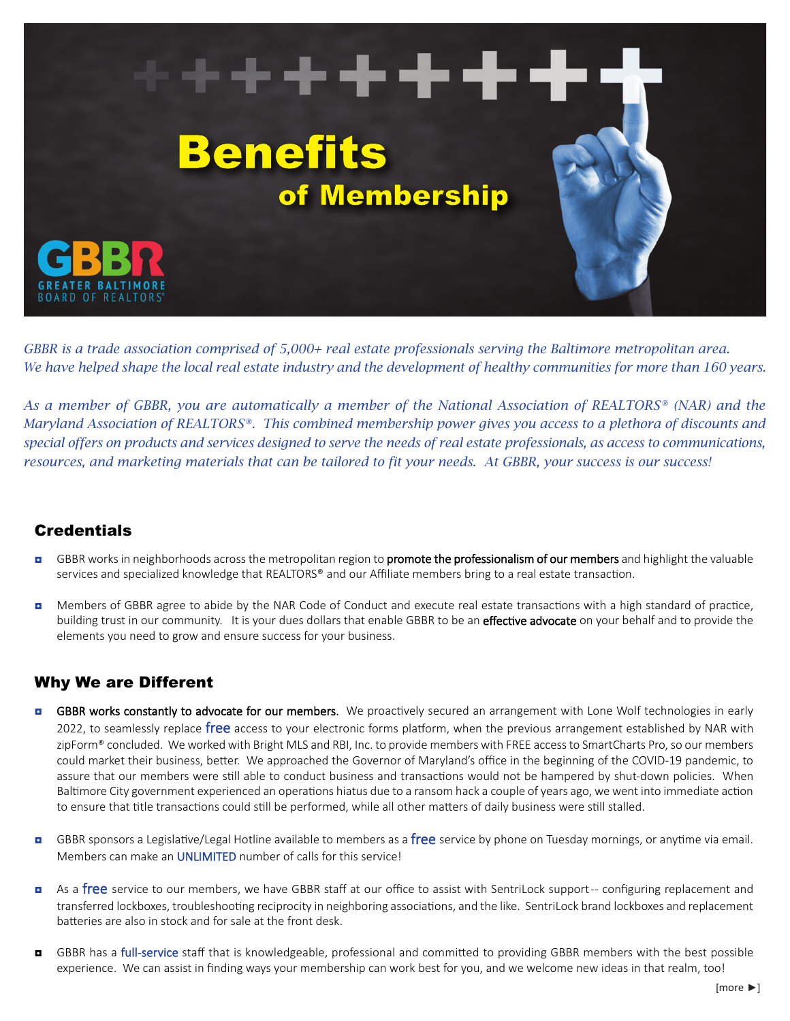

*GBBR is a trade association comprised of 5,000+ real estate professionals serving the Baltimore metropolitan area. We have helped shape the local real estate industry and the development of healthy communities for more than 160 years.* 

*As a member of GBBR, you are automatically a member of the National Association of REALTORS® (NAR) and the Maryland Association of REALTORS®. This combined membership power gives you access to a plethora of discounts and special offers on products and services designed to serve the needs of real estate professionals, as access to communications, resources, and marketing materials that can be tailored to fit your needs. At GBBR, your success is our success!*

### **Credentials**

- GBBR works in neighborhoods across the metropolitan region to **promote the professionalism of our members** and highlight the valuable services and specialized knowledge that REALTORS® and our Affiliate members bring to a real estate transaction.
- **D** Members of GBBR agree to abide by the NAR Code of Conduct and execute real estate transactions with a high standard of practice, building trust in our community. It is your dues dollars that enable GBBR to be an effective advocate on your behalf and to provide the elements you need to grow and ensure success for your business.

### Why We are Different

- **D** GBBR works constantly to advocate for our members. We proactively secured an arrangement with Lone Wolf technologies in early 2022, to seamlessly replace free access to your electronic forms platform, when the previous arrangement established by NAR with zipForm® concluded. We worked with Bright MLS and RBI, Inc. to provide members with FREE access to SmartCharts Pro, so our members could market their business, better. We approached the Governor of Maryland's office in the beginning of the COVID-19 pandemic, to assure that our members were still able to conduct business and transactions would not be hampered by shut-down policies. When Baltimore City government experienced an operations hiatus due to a ransom hack a couple of years ago, we went into immediate action to ensure that title transactions could still be performed, while all other matters of daily business were still stalled.
- **a** GBBR sponsors a Legislative/Legal Hotline available to members as a free service by phone on Tuesday mornings, or anytime via email. Members can make an UNLIMITED number of calls for this service!
- **n** As a free service to our members, we have GBBR staff at our office to assist with SentriLock support -- configuring replacement and transferred lockboxes, troubleshooting reciprocity in neighboring associations, and the like. SentriLock brand lockboxes and replacement batteries are also in stock and for sale at the front desk.
- GBBR has a full-service staff that is knowledgeable, professional and committed to providing GBBR members with the best possible experience. We can assist in finding ways your membership can work best for you, and we welcome new ideas in that realm, too!